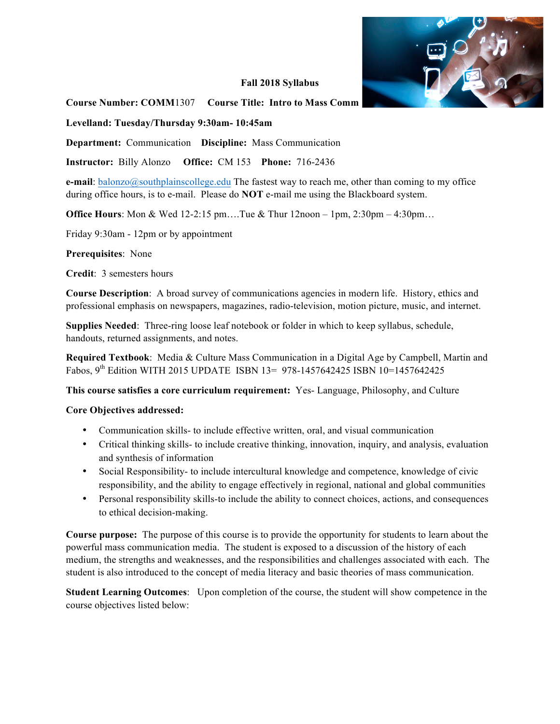

#### **Fall 2018 Syllabus**

## **Course Number: COMM**1307 **Course Title: Intro to Mass Comm**

**Levelland: Tuesday/Thursday 9:30am- 10:45am** 

**Department:** Communication **Discipline:** Mass Communication

**Instructor:** Billy Alonzo **Office:** CM 153 **Phone:** 716-2436

**e-mail**: balonzo@southplainscollege.edu The fastest way to reach me, other than coming to my office during office hours, is to e-mail. Please do **NOT** e-mail me using the Blackboard system.

**Office Hours**: Mon & Wed 12-2:15 pm....Tue & Thur 12noon – 1pm, 2:30pm – 4:30pm...

Friday 9:30am - 12pm or by appointment

**Prerequisites**: None

**Credit**: 3 semesters hours

**Course Description**: A broad survey of communications agencies in modern life. History, ethics and professional emphasis on newspapers, magazines, radio-television, motion picture, music, and internet.

**Supplies Needed**: Three-ring loose leaf notebook or folder in which to keep syllabus, schedule, handouts, returned assignments, and notes.

**Required Textbook**: Media & Culture Mass Communication in a Digital Age by Campbell, Martin and Fabos, 9<sup>th</sup> Edition WITH 2015 UPDATE ISBN 13= 978-1457642425 ISBN 10=1457642425

**This course satisfies a core curriculum requirement:** Yes- Language, Philosophy, and Culture

#### **Core Objectives addressed:**

- Communication skills- to include effective written, oral, and visual communication
- Critical thinking skills- to include creative thinking, innovation, inquiry, and analysis, evaluation and synthesis of information
- Social Responsibility- to include intercultural knowledge and competence, knowledge of civic responsibility, and the ability to engage effectively in regional, national and global communities
- Personal responsibility skills-to include the ability to connect choices, actions, and consequences to ethical decision-making.

**Course purpose:** The purpose of this course is to provide the opportunity for students to learn about the powerful mass communication media. The student is exposed to a discussion of the history of each medium, the strengths and weaknesses, and the responsibilities and challenges associated with each. The student is also introduced to the concept of media literacy and basic theories of mass communication.

**Student Learning Outcomes**: Upon completion of the course, the student will show competence in the course objectives listed below: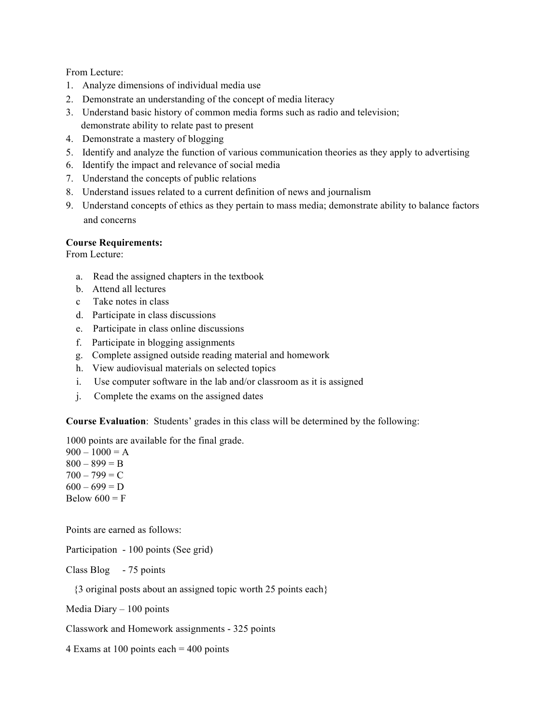From Lecture:

- 1. Analyze dimensions of individual media use
- 2. Demonstrate an understanding of the concept of media literacy
- 3. Understand basic history of common media forms such as radio and television; demonstrate ability to relate past to present
- 4. Demonstrate a mastery of blogging
- 5. Identify and analyze the function of various communication theories as they apply to advertising
- 6. Identify the impact and relevance of social media
- 7. Understand the concepts of public relations
- 8. Understand issues related to a current definition of news and journalism
- 9. Understand concepts of ethics as they pertain to mass media; demonstrate ability to balance factors and concerns

## **Course Requirements:**

From Lecture:

- a. Read the assigned chapters in the textbook
- b. Attend all lectures
- c Take notes in class
- d. Participate in class discussions
- e. Participate in class online discussions
- f. Participate in blogging assignments
- g. Complete assigned outside reading material and homework
- h. View audiovisual materials on selected topics
- i. Use computer software in the lab and/or classroom as it is assigned
- j. Complete the exams on the assigned dates

**Course Evaluation**: Students' grades in this class will be determined by the following:

1000 points are available for the final grade.

 $900 - 1000 = A$  $800 - 899 = B$  $700 - 799 = C$  $600 - 699 = D$ Below  $600 = F$ 

Points are earned as follows:

Participation - 100 points (See grid)

Class Blog - 75 points

{3 original posts about an assigned topic worth 25 points each}

Media Diary – 100 points

Classwork and Homework assignments - 325 points

4 Exams at 100 points each = 400 points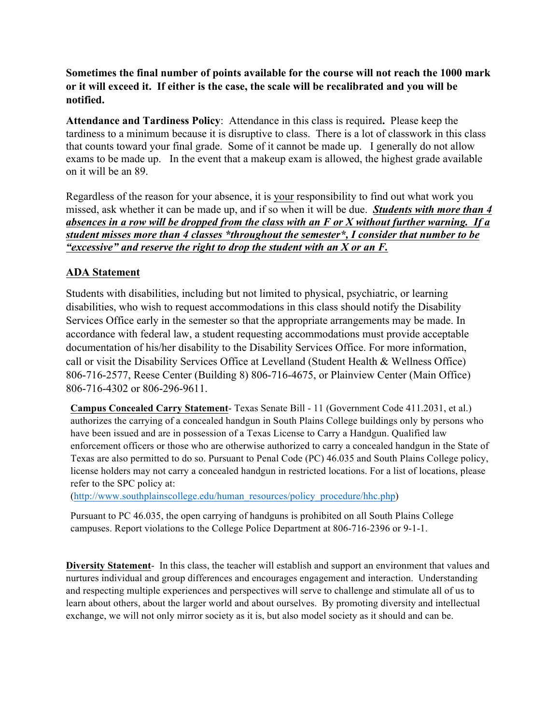**Sometimes the final number of points available for the course will not reach the 1000 mark or it will exceed it. If either is the case, the scale will be recalibrated and you will be notified.**

**Attendance and Tardiness Policy**: Attendance in this class is required**.** Please keep the tardiness to a minimum because it is disruptive to class. There is a lot of classwork in this class that counts toward your final grade. Some of it cannot be made up. I generally do not allow exams to be made up. In the event that a makeup exam is allowed, the highest grade available on it will be an 89.

Regardless of the reason for your absence, it is your responsibility to find out what work you missed, ask whether it can be made up, and if so when it will be due. *Students with more than 4 absences in a row will be dropped from the class with an F or X without further warning. If a student misses more than 4 classes \*throughout the semester\*, I consider that number to be "excessive" and reserve the right to drop the student with an X or an F.*

# **ADA Statement**

Students with disabilities, including but not limited to physical, psychiatric, or learning disabilities, who wish to request accommodations in this class should notify the Disability Services Office early in the semester so that the appropriate arrangements may be made. In accordance with federal law, a student requesting accommodations must provide acceptable documentation of his/her disability to the Disability Services Office. For more information, call or visit the Disability Services Office at Levelland (Student Health & Wellness Office) 806-716-2577, Reese Center (Building 8) 806-716-4675, or Plainview Center (Main Office) 806-716-4302 or 806-296-9611.

**Campus Concealed Carry Statement**- Texas Senate Bill - 11 (Government Code 411.2031, et al.) authorizes the carrying of a concealed handgun in South Plains College buildings only by persons who have been issued and are in possession of a Texas License to Carry a Handgun. Qualified law enforcement officers or those who are otherwise authorized to carry a concealed handgun in the State of Texas are also permitted to do so. Pursuant to Penal Code (PC) 46.035 and South Plains College policy, license holders may not carry a concealed handgun in restricted locations. For a list of locations, please refer to the SPC policy at:

(http://www.southplainscollege.edu/human\_resources/policy\_procedure/hhc.php)

Pursuant to PC 46.035, the open carrying of handguns is prohibited on all South Plains College campuses. Report violations to the College Police Department at 806-716-2396 or 9-1-1.

**Diversity Statement**- In this class, the teacher will establish and support an environment that values and nurtures individual and group differences and encourages engagement and interaction. Understanding and respecting multiple experiences and perspectives will serve to challenge and stimulate all of us to learn about others, about the larger world and about ourselves. By promoting diversity and intellectual exchange, we will not only mirror society as it is, but also model society as it should and can be.